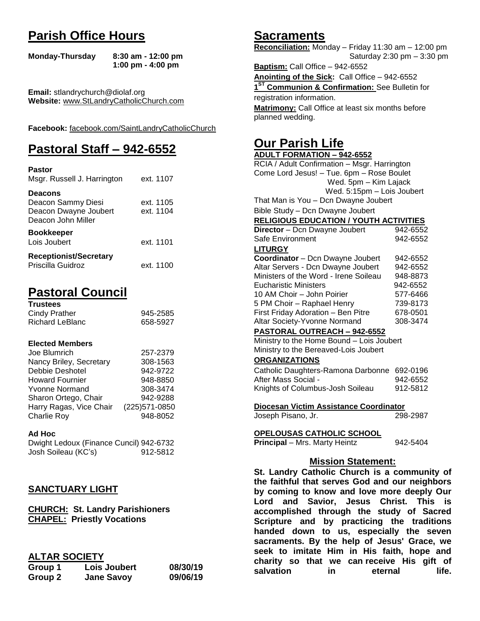# **Parish Office Hours**

```
Monday-Thursday 8:30 am - 12:00 pm
       1:00 pm - 4:00 pm
```
**Email:** stlandrychurch@diolaf.org **Website:** [www.StLandryCatholicChurch.com](http://www.stlandrycatholicchurch.com/)

**Facebook:** [facebook.com/SaintLandryCatholicChurch](http://facebook.com/SaintLandryCatholicChurch)

# **Pastoral Staff – 942-6552**

| <b>Pastor</b><br>Msgr. Russell J. Harrington                                        | ext. 1107              |
|-------------------------------------------------------------------------------------|------------------------|
| <b>Deacons</b><br>Deacon Sammy Diesi<br>Deacon Dwayne Joubert<br>Deacon John Miller | ext. 1105<br>ext. 1104 |
| <b>Bookkeeper</b><br>Lois Joubert                                                   | ext. 1101              |
| <b>Receptionist/Secretary</b><br>Priscilla Guidroz                                  | ext. 1100              |

# **Pastoral Council**

| <b>Trustees</b> |          |
|-----------------|----------|
| Cindy Prather   | 945-2585 |
| Richard LeBlanc | 658-5927 |

#### **Elected Members**

| Joe Blumrich            | 257-2379       |
|-------------------------|----------------|
| Nancy Briley, Secretary | 308-1563       |
| Debbie Deshotel         | 942-9722       |
| <b>Howard Fournier</b>  | 948-8850       |
| <b>Yvonne Normand</b>   | 308-3474       |
| Sharon Ortego, Chair    | 942-9288       |
| Harry Ragas, Vice Chair | (225) 571-0850 |
| <b>Charlie Roy</b>      | 948-8052       |

#### **Ad Hoc**

Dwight Ledoux (Finance Cuncil) 942-6732 Josh Soileau (KC's) 912-5812

## **SANCTUARY LIGHT**

**CHURCH: St. Landry Parishioners CHAPEL: Priestly Vocations**

## **ALTAR SOCIETY**

| Group 1 | Lois Joubert      | 08/30/19 |
|---------|-------------------|----------|
| Group 2 | <b>Jane Savoy</b> | 09/06/19 |

## **Sacraments**

**Reconciliation:** Monday – Friday 11:30 am – 12:00 pm Saturday 2:30 pm – 3:30 pm

**Baptism:** Call Office – 942-6552 **Anointing of the Sick:** Call Office – 942-6552 **1 ST Communion & Confirmation:** See Bulletin for registration information. **Matrimony:** Call Office at least six months before planned wedding.

## **Our Parish Life**

| <b>ADULT FORMATION - 942-6552</b>                                                            |                    |
|----------------------------------------------------------------------------------------------|--------------------|
| RCIA / Adult Confirmation - Msgr. Harrington                                                 |                    |
| Come Lord Jesus! - Tue. 6pm - Rose Boulet                                                    |                    |
| Wed. 5pm - Kim Lajack                                                                        |                    |
| Wed. 5:15pm - Lois Joubert                                                                   |                    |
| That Man is You - Dcn Dwayne Joubert                                                         |                    |
| Bible Study - Dcn Dwayne Joubert                                                             |                    |
| <b>RELIGIOUS EDUCATION / YOUTH ACTIVITIES</b>                                                |                    |
| Director - Dcn Dwayne Joubert                                                                | 942-6552           |
| Safe Environment                                                                             | 942-6552           |
| <b>LITURGY</b>                                                                               |                    |
| Coordinator - Dcn Dwayne Joubert                                                             | 942-6552           |
| Altar Servers - Dcn Dwayne Joubert                                                           | 942-6552           |
| Ministers of the Word - Irene Soileau                                                        | 948-8873           |
| <b>Eucharistic Ministers</b>                                                                 | 942-6552           |
| 10 AM Choir - John Poirier                                                                   | 577-6466           |
| 5 PM Choir - Raphael Henry                                                                   | 739-8173           |
| First Friday Adoration - Ben Pitre                                                           | 678-0501           |
| Altar Society-Yvonne Normand                                                                 | 308-3474           |
| <b>PASTORAL OUTREACH - 942-6552</b>                                                          |                    |
| Ministry to the Home Bound - Lois Joubert                                                    |                    |
| Ministry to the Bereaved-Lois Joubert                                                        |                    |
| <b>ORGANIZATIONS</b>                                                                         |                    |
| Catholic Daughters-Ramona Darbonne 692-0196                                                  |                    |
| After Mass Social -                                                                          | 942-6552           |
| Knights of Columbus-Josh Soileau                                                             | 912-5812           |
|                                                                                              |                    |
| Diocesan Victim Assistance Coordinator                                                       |                    |
| Joseph Pisano, Jr.                                                                           | 298-2987           |
| <u>OPELOUSAS CATHOLIC SCHOOL</u>                                                             |                    |
| Principal - Mrs. Marty Heintz                                                                | 942-5404           |
|                                                                                              |                    |
| <b>Mission Statement:</b>                                                                    |                    |
| St. Landry Catholic Church is a community of                                                 |                    |
|                                                                                              |                    |
| the faithful that serves God and our neighbors<br>by coming to know and love more deeply Our |                    |
|                                                                                              |                    |
| Lord<br>and Savior, Jesus Christ.                                                            | <b>This</b><br>is. |
| accomplished through the study of                                                            | <b>Sacred</b>      |

**accomplished through the study of Sacred Scripture and by practicing the traditions handed down to us, especially the seven sacraments. By the help of Jesus' Grace, we seek to imitate Him in His faith, hope and charity so that we can receive His gift of salvation in** eternal life.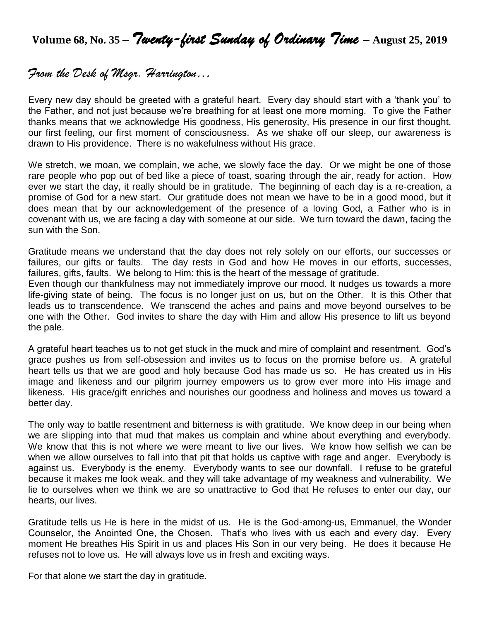**Volume 68, No. 35 –** *Twenty-first Sunday of Ordinary Time* **– August 25, <sup>2019</sup>**

## *From the Desk of Msgr. Harrington…*

Every new day should be greeted with a grateful heart. Every day should start with a 'thank you' to the Father, and not just because we're breathing for at least one more morning. To give the Father thanks means that we acknowledge His goodness, His generosity, His presence in our first thought, our first feeling, our first moment of consciousness. As we shake off our sleep, our awareness is drawn to His providence. There is no wakefulness without His grace.

We stretch, we moan, we complain, we ache, we slowly face the day. Or we might be one of those rare people who pop out of bed like a piece of toast, soaring through the air, ready for action. How ever we start the day, it really should be in gratitude. The beginning of each day is a re-creation, a promise of God for a new start. Our gratitude does not mean we have to be in a good mood, but it does mean that by our acknowledgement of the presence of a loving God, a Father who is in covenant with us, we are facing a day with someone at our side. We turn toward the dawn, facing the sun with the Son.

Gratitude means we understand that the day does not rely solely on our efforts, our successes or failures, our gifts or faults. The day rests in God and how He moves in our efforts, successes, failures, gifts, faults. We belong to Him: this is the heart of the message of gratitude.

Even though our thankfulness may not immediately improve our mood. It nudges us towards a more life-giving state of being. The focus is no longer just on us, but on the Other. It is this Other that leads us to transcendence. We transcend the aches and pains and move beyond ourselves to be one with the Other. God invites to share the day with Him and allow His presence to lift us beyond the pale.

A grateful heart teaches us to not get stuck in the muck and mire of complaint and resentment. God's grace pushes us from self-obsession and invites us to focus on the promise before us. A grateful heart tells us that we are good and holy because God has made us so. He has created us in His image and likeness and our pilgrim journey empowers us to grow ever more into His image and likeness. His grace/gift enriches and nourishes our goodness and holiness and moves us toward a better day.

The only way to battle resentment and bitterness is with gratitude. We know deep in our being when we are slipping into that mud that makes us complain and whine about everything and everybody. We know that this is not where we were meant to live our lives. We know how selfish we can be when we allow ourselves to fall into that pit that holds us captive with rage and anger. Everybody is against us. Everybody is the enemy. Everybody wants to see our downfall. I refuse to be grateful because it makes me look weak, and they will take advantage of my weakness and vulnerability. We lie to ourselves when we think we are so unattractive to God that He refuses to enter our day, our hearts, our lives.

Gratitude tells us He is here in the midst of us. He is the God-among-us, Emmanuel, the Wonder Counselor, the Anointed One, the Chosen. That's who lives with us each and every day. Every moment He breathes His Spirit in us and places His Son in our very being. He does it because He refuses not to love us. He will always love us in fresh and exciting ways.

For that alone we start the day in gratitude.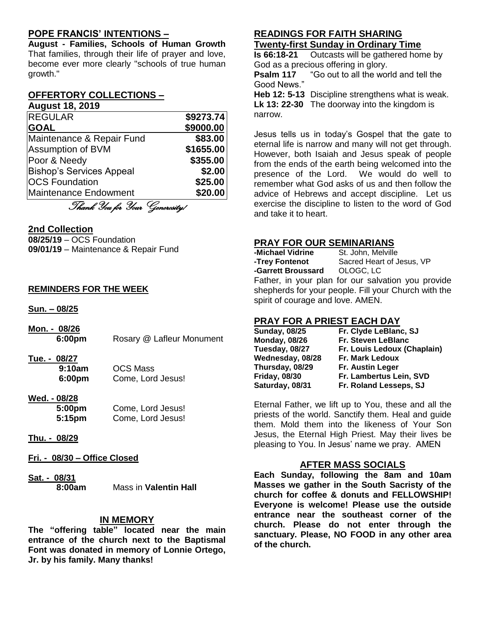## **POPE FRANCIS' INTENTIONS –**

**August - Families, Schools of Human Growth** That families, through their life of prayer and love, become ever more clearly "schools of true human growth."

#### **OFFERTORY COLLECTIONS – August 18, 2019**

| <b>REGULAR</b>                  | \$9273.74 |
|---------------------------------|-----------|
| <b>GOAL</b>                     | \$9000.00 |
| Maintenance & Repair Fund       | \$83.00   |
| Assumption of BVM               | \$1655.00 |
| Poor & Needy                    | \$355.00  |
| <b>Bishop's Services Appeal</b> | \$2.00    |
| <b>OCS Foundation</b>           | \$25.00   |
| <b>Maintenance Endowment</b>    | \$20.00   |
| Thank You for Your Generosity!  |           |
|                                 |           |

#### **2nd Collection**

**08/25/19** – OCS Foundation **09/01/19** – Maintenance & Repair Fund

#### **REMINDERS FOR THE WEEK**

**Sun. – 08/25**

**Mon. - 08/26 Rosary @ Lafleur Monument** 

**Tue. - 08/27**

**9:10am** OCS Mass **6:00pm** Come, Lord Jesus!

- **Wed. - 08/28 5:00pm** Come, Lord Jesus! **5:15pm** Come, Lord Jesus!
- **Thu. - 08/29**
- **Fri. - 08/30 – Office Closed**
- **Sat. - 08/31 Mass in Valentin Hall**

#### **IN MEMORY**

**The "offering table" located near the main entrance of the church next to the Baptismal Font was donated in memory of Lonnie Ortego, Jr. by his family. Many thanks!** 

## **READINGS FOR FAITH SHARING Twenty-first Sunday in Ordinary Time**

**Is 66:18-21** Outcasts will be gathered home by God as a precious offering in glory.

**Psalm 117** "Go out to all the world and tell the Good News."

**Heb 12: 5-13** Discipline strengthens what is weak. **Lk 13: 22-30** The doorway into the kingdom is narrow.

Jesus tells us in today's Gospel that the gate to eternal life is narrow and many will not get through. However, both Isaiah and Jesus speak of people from the ends of the earth being welcomed into the presence of the Lord. We would do well to remember what God asks of us and then follow the advice of Hebrews and accept discipline. Let us exercise the discipline to listen to the word of God and take it to heart.

## **PRAY FOR OUR SEMINARIANS**

| -Michael Vidrine   | St. John, Melville                             |
|--------------------|------------------------------------------------|
| -Trey Fontenot     | Sacred Heart of Jesus, VP                      |
| -Garrett Broussard | OLOGC, LC                                      |
|                    | Eather in your plan for our salvation you prov |

Father, in your plan for our salvation you provide shepherds for your people. Fill your Church with the spirit of courage and love. AMEN.

## **PRAY FOR A PRIEST EACH DAY**

| <b>Sunday, 08/25</b> | Fr. Clyde LeBlanc, SJ       |
|----------------------|-----------------------------|
| <b>Monday, 08/26</b> | Fr. Steven LeBlanc          |
| Tuesday, 08/27       | Fr. Louis Ledoux (Chaplain) |
| Wednesday, 08/28     | <b>Fr. Mark Ledoux</b>      |
| Thursday, 08/29      | Fr. Austin Leger            |
| <b>Friday, 08/30</b> | Fr. Lambertus Lein, SVD     |
| Saturday, 08/31      | Fr. Roland Lesseps, SJ      |

Eternal Father, we lift up to You, these and all the priests of the world. Sanctify them. Heal and guide them. Mold them into the likeness of Your Son Jesus, the Eternal High Priest. May their lives be pleasing to You. In Jesus' name we pray. AMEN

## **AFTER MASS SOCIALS**

**Each Sunday, following the 8am and 10am Masses we gather in the South Sacristy of the church for coffee & donuts and FELLOWSHIP! Everyone is welcome! Please use the outside entrance near the southeast corner of the church. Please do not enter through the sanctuary. Please, NO FOOD in any other area of the church.**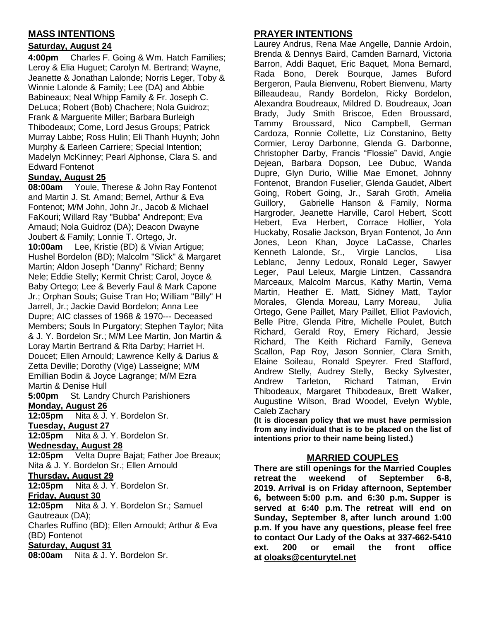## **MASS INTENTIONS**

## **Saturday, August 24**

**4:00pm** Charles F. Going & Wm. Hatch Families; Leroy & Elia Huguet; Carolyn M. Bertrand; Wayne, Jeanette & Jonathan Lalonde; Norris Leger, Toby & Winnie Lalonde & Family; Lee (DA) and Abbie Babineaux; Neal Whipp Family & Fr. Joseph C. DeLuca; Robert (Bob) Chachere; Nola Guidroz; Frank & Marguerite Miller; Barbara Burleigh Thibodeaux; Come, Lord Jesus Groups; Patrick Murray Labbe; Ross Hulin; Eli Thanh Huynh; John Murphy & Earleen Carriere; Special Intention; Madelyn McKinney; Pearl Alphonse, Clara S. and Edward Fontenot

## **Sunday, August 25**

**08:00am** Youle, Therese & John Ray Fontenot and Martin J. St. Amand; Bernel, Arthur & Eva Fontenot; M/M John, John Jr., Jacob & Michael FaKouri; Willard Ray "Bubba" Andrepont; Eva Arnaud; Nola Guidroz (DA); Deacon Dwayne Joubert & Family; Lonnie T. Ortego, Jr.

**10:00am** Lee, Kristie (BD) & Vivian Artigue; Hushel Bordelon (BD); Malcolm "Slick" & Margaret Martin; Aldon Joseph "Danny" Richard; Benny Nele; Eddie Stelly; Kermit Christ; Carol, Joyce & Baby Ortego; Lee & Beverly Faul & Mark Capone Jr.; Orphan Souls; Guise Tran Ho; William "Billy" H Jarrell, Jr.; Jackie David Bordelon; Anna Lee Dupre; AIC classes of 1968 & 1970--- Deceased Members; Souls In Purgatory; Stephen Taylor; Nita & J. Y. Bordelon Sr.; M/M Lee Martin, Jon Martin & Loray Martin Bertrand & Rita Darby; Harriet H. Doucet; Ellen Arnould; Lawrence Kelly & Darius & Zetta Deville; Dorothy (Vige) Lasseigne; M/M Emillian Bodin & Joyce Lagrange; M/M Ezra Martin & Denise Hull

**5:00pm** St. Landry Church Parishioners **Monday, August 26**

**12:05pm** Nita & J. Y. Bordelon Sr.

**Tuesday, August 27**

**12:05pm** Nita & J. Y. Bordelon Sr.

#### **Wednesday, August 28**

**12:05pm** Velta Dupre Bajat; Father Joe Breaux; Nita & J. Y. Bordelon Sr.; Ellen Arnould

## **Thursday, August 29**

**12:05pm** Nita & J. Y. Bordelon Sr.

#### **Friday, August 30**

**12:05pm** Nita & J. Y. Bordelon Sr.; Samuel Gautreaux (DA);

Charles Ruffino (BD); Ellen Arnould; Arthur & Eva (BD) Fontenot

#### **Saturday, August 31**

**08:00am** Nita & J. Y. Bordelon Sr.

## **PRAYER INTENTIONS**

Laurey Andrus, Rena Mae Angelle, Dannie Ardoin, Brenda & Dennys Baird, Camden Barnard, Victoria Barron, Addi Baquet, Eric Baquet, Mona Bernard, Rada Bono, Derek Bourque, James Buford Bergeron, Paula Bienvenu, Robert Bienvenu, Marty Billeaudeau, Randy Bordelon, Ricky Bordelon, Alexandra Boudreaux, Mildred D. Boudreaux, Joan Brady, Judy Smith Briscoe, Eden Broussard, Tammy Broussard, Nico Campbell, German Cardoza, Ronnie Collette, Liz Constanino, Betty Cormier, Leroy Darbonne, Glenda G. Darbonne, Christopher Darby, Francis "Flossie" David, Angie Dejean, Barbara Dopson, Lee Dubuc, Wanda Dupre, Glyn Durio, Willie Mae Emonet, Johnny Fontenot, Brandon Fuselier, Glenda Gaudet, Albert Going, Robert Going, Jr., Sarah Groth, Amelia Guillory, Gabrielle Hanson & Family, Norma Hargroder, Jeanette Harville, Carol Hebert, Scott Hebert, Eva Herbert, Corrace Hollier, Yola Huckaby, Rosalie Jackson, Bryan Fontenot, Jo Ann Jones, Leon Khan, Joyce LaCasse, Charles Kenneth Lalonde, Sr., Virgie Lanclos, Lisa Leblanc, Jenny Ledoux, Ronald Leger, Sawyer Leger, Paul Leleux, Margie Lintzen, Cassandra Marceaux, Malcolm Marcus, Kathy Martin, Verna Martin, Heather E. Matt, Sidney Matt, Taylor Morales, Glenda Moreau, Larry Moreau, Julia Ortego, Gene Paillet, Mary Paillet, Elliot Pavlovich, Belle Pitre, Glenda Pitre, Michelle Poulet, Butch Richard, Gerald Roy, Emery Richard, Jessie Richard, The Keith Richard Family, Geneva Scallon, Pap Roy, Jason Sonnier, Clara Smith, Elaine Soileau, Ronald Speyrer. Fred Stafford, Andrew Stelly, Audrey Stelly, Becky Sylvester, Andrew Tarleton, Richard Tatman, Ervin Thibodeaux, Margaret Thibodeaux, Brett Walker, Augustine Wilson, Brad Woodel, Evelyn Wyble, Caleb Zachary

**(It is diocesan policy that we must have permission from any individual that is to be placed on the list of intentions prior to their name being listed.)**

## **MARRIED COUPLES**

**There are still openings for the Married Couples retreat the weekend of September 6-8, 2019. Arrival is on Friday afternoon, September 6, between 5:00 p.m. and 6:30 p.m. Supper is served at 6:40 p.m. The retreat will end on Sunday, September 8, after lunch around 1:00 p.m. If you have any questions, please feel free to contact Our Lady of the Oaks at 337-662-5410 ext. 200 or email the front office at [oloaks@centurytel.net](mailto:oloaks@centurytel.net)**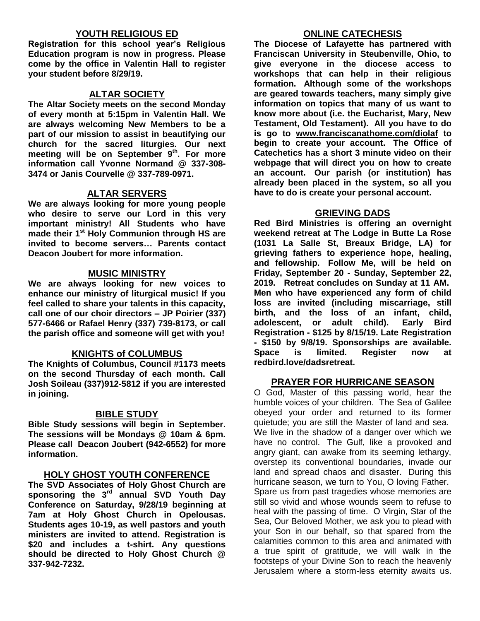## **YOUTH RELIGIOUS ED**

**Registration for this school year's Religious Education program is now in progress. Please come by the office in Valentin Hall to register your student before 8/29/19.**

### **ALTAR SOCIETY**

**The Altar Society meets on the second Monday of every month at 5:15pm in Valentin Hall. We are always welcoming New Members to be a part of our mission to assist in beautifying our church for the sacred liturgies. Our next meeting will be on September 9 th . For more information call Yvonne Normand @ 337-308- 3474 or Janis Courvelle @ 337-789-0971.** 

## **ALTAR SERVERS**

**We are always looking for more young people who desire to serve our Lord in this very important ministry! All Students who have made their 1st Holy Communion through HS are invited to become servers… Parents contact Deacon Joubert for more information.**

### **MUSIC MINISTRY**

**We are always looking for new voices to enhance our ministry of liturgical music! If you feel called to share your talents in this capacity, call one of our choir directors – JP Poirier (337) 577-6466 or Rafael Henry (337) 739-8173, or call the parish office and someone will get with you!**

## **KNIGHTS of COLUMBUS**

**The Knights of Columbus, Council #1173 meets on the second Thursday of each month. Call Josh Soileau (337)912-5812 if you are interested in joining.** 

## **BIBLE STUDY**

**Bible Study sessions will begin in September. The sessions will be Mondays @ 10am & 6pm. Please call Deacon Joubert (942-6552) for more information.**

### **HOLY GHOST YOUTH CONFERENCE**

**The SVD Associates of Holy Ghost Church are sponsoring the 3rd annual SVD Youth Day Conference on Saturday, 9/28/19 beginning at 7am at Holy Ghost Church in Opelousas. Students ages 10-19, as well pastors and youth ministers are invited to attend. Registration is \$20 and includes a t-shirt. Any questions should be directed to Holy Ghost Church @ 337-942-7232.**

### **ONLINE CATECHESIS**

**The Diocese of Lafayette has partnered with Franciscan University in Steubenville, Ohio, to give everyone in the diocese access to workshops that can help in their religious formation. Although some of the workshops are geared towards teachers, many simply give information on topics that many of us want to know more about (i.e. the Eucharist, Mary, New Testament, Old Testament). All you have to do is go to [www.franciscanathome.com/diolaf](http://www.franciscanathome.com/diolaf) to begin to create your account. The Office of Catechetics has a short 3 minute video on their webpage that will direct you on how to create an account. Our parish (or institution) has already been placed in the system, so all you have to do is create your personal account.**

### **GRIEVING DADS**

**Red Bird Ministries is offering an overnight weekend retreat at The Lodge in Butte La Rose (1031 La Salle St, Breaux Bridge, LA) for grieving fathers to experience hope, healing, and fellowship. Follow Me, will be held on Friday, September 20 - Sunday, September 22, 2019. Retreat concludes on Sunday at 11 AM. Men who have experienced any form of child loss are invited (including miscarriage, still birth, and the loss of an infant, child, adolescent, or adult child). Early Bird Registration - \$125 by 8/15/19. Late Registration - \$150 by 9/8/19. Sponsorships are available. Space is limited. Register now at redbird.love/dadsretreat.**

#### **PRAYER FOR HURRICANE SEASON**

O God, Master of this passing world, hear the humble voices of your children. The Sea of Galilee obeyed your order and returned to its former quietude; you are still the Master of land and sea. We live in the shadow of a danger over which we have no control. The Gulf, like a provoked and angry giant, can awake from its seeming lethargy, overstep its conventional boundaries, invade our land and spread chaos and disaster. During this hurricane season, we turn to You, O loving Father. Spare us from past tragedies whose memories are still so vivid and whose wounds seem to refuse to heal with the passing of time. O Virgin, Star of the Sea, Our Beloved Mother, we ask you to plead with your Son in our behalf, so that spared from the calamities common to this area and animated with a true spirit of gratitude, we will walk in the footsteps of your Divine Son to reach the heavenly Jerusalem where a storm-less eternity awaits us.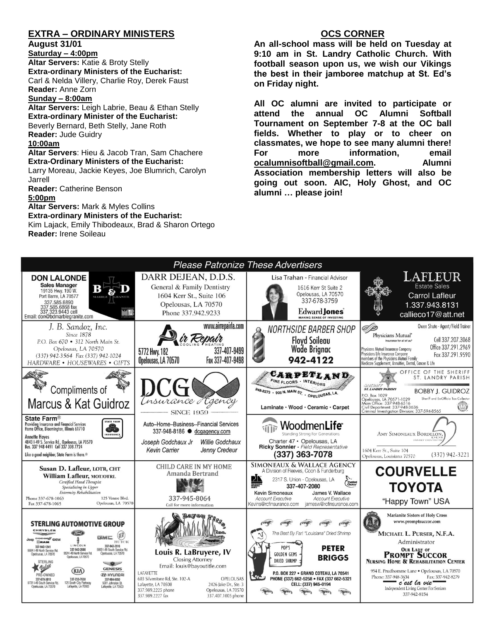## **EXTRA – ORDINARY MINISTERS**

#### **August 31/01**

**Saturday – 4:00pm Altar Servers:** Katie & Broty Stelly **Extra-ordinary Ministers of the Eucharist:**  Carl & Nelda Villery, Charlie Roy, Derek Faust **Reader:** Anne Zorn

#### **Sunday – 8:00am**

**Altar Servers:** Leigh Labrie, Beau & Ethan Stelly **Extra-ordinary Minister of the Eucharist:** Beverly Bernard, Beth Stelly, Jane Roth **Reader:** Jude Guidry

#### **10:00am**

**Altar Servers**: Hieu & Jacob Tran, Sam Chachere **Extra-Ordinary Ministers of the Eucharist:** Larry Moreau, Jackie Keyes, Joe Blumrich, Carolyn

Jarrell

**Reader:** Catherine Benson

#### **5:00pm**

**Altar Servers:** Mark & Myles Collins **Extra-ordinary Ministers of the Eucharist:**

Kim Lajack, Emily Thibodeaux, Brad & Sharon Ortego **Reader:** Irene Soileau

### **OCS CORNER**

**An all-school mass will be held on Tuesday at 9:10 am in St. Landry Catholic Church. With football season upon us, we wish our Vikings the best in their jamboree matchup at St. Ed's on Friday night.** 

**All OC alumni are invited to participate or attend the annual OC Alumni Softball Tournament on September 7-8 at the OC ball fields. Whether to play or to cheer on classmates, we hope to see many alumni there! For more information, email [ocalumnisoftball@gmail.com.](mailto:ocalumnisoftball@gmail.com) Alumni Association membership letters will also be going out soon. AIC, Holy Ghost, and OC alumni … please join!**